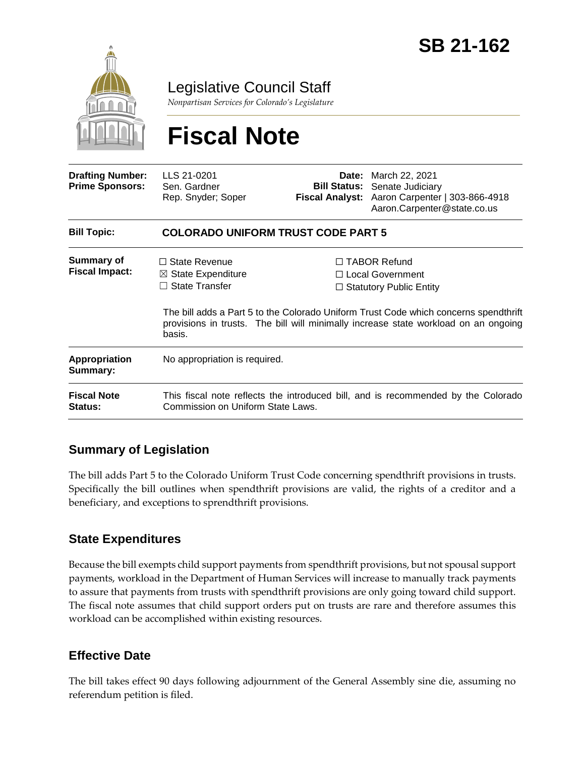

Legislative Council Staff

*Nonpartisan Services for Colorado's Legislature*

# **Fiscal Note**

| <b>Drafting Number:</b><br><b>Prime Sponsors:</b> | LLS 21-0201<br>Sen. Gardner<br>Rep. Snyder; Soper                                                                      |  | <b>Date:</b> March 22, 2021<br><b>Bill Status:</b> Senate Judiciary<br>Fiscal Analyst: Aaron Carpenter   303-866-4918<br>Aaron.Carpenter@state.co.us                     |  |
|---------------------------------------------------|------------------------------------------------------------------------------------------------------------------------|--|--------------------------------------------------------------------------------------------------------------------------------------------------------------------------|--|
| <b>Bill Topic:</b>                                | <b>COLORADO UNIFORM TRUST CODE PART 5</b>                                                                              |  |                                                                                                                                                                          |  |
| Summary of<br><b>Fiscal Impact:</b>               | $\Box$ State Revenue<br>$\boxtimes$ State Expenditure<br>$\Box$ State Transfer                                         |  | $\Box$ TABOR Refund<br>$\Box$ Local Government<br>$\Box$ Statutory Public Entity<br>The bill adds a Part 5 to the Colorado Uniform Trust Code which concerns spendthrift |  |
|                                                   | basis.                                                                                                                 |  | provisions in trusts. The bill will minimally increase state workload on an ongoing                                                                                      |  |
| Appropriation<br>Summary:                         | No appropriation is required.                                                                                          |  |                                                                                                                                                                          |  |
| <b>Fiscal Note</b><br><b>Status:</b>              | This fiscal note reflects the introduced bill, and is recommended by the Colorado<br>Commission on Uniform State Laws. |  |                                                                                                                                                                          |  |

## **Summary of Legislation**

The bill adds Part 5 to the Colorado Uniform Trust Code concerning spendthrift provisions in trusts. Specifically the bill outlines when spendthrift provisions are valid, the rights of a creditor and a beneficiary, and exceptions to sprendthrift provisions.

### **State Expenditures**

Because the bill exempts child support payments from spendthrift provisions, but not spousal support payments, workload in the Department of Human Services will increase to manually track payments to assure that payments from trusts with spendthrift provisions are only going toward child support. The fiscal note assumes that child support orders put on trusts are rare and therefore assumes this workload can be accomplished within existing resources.

### **Effective Date**

The bill takes effect 90 days following adjournment of the General Assembly sine die, assuming no referendum petition is filed.